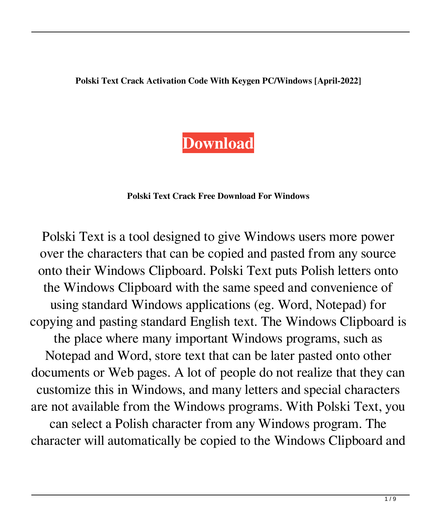**Polski Text Crack Activation Code With Keygen PC/Windows [April-2022]**

## **[Download](http://evacdir.com/mallets/ZG93bmxvYWR8WTlWTTNFeGRueDhNVFkxTkRVeU1qRXhNSHg4TWpVM05IeDhLRTBwSUhKbFlXUXRZbXh2WnlCYlJtRnpkQ0JIUlU1ZA/mine=eerily.maryann?schweppes=UG9sc2tpIFRleHQUG9)**

## **Polski Text Crack Free Download For Windows**

Polski Text is a tool designed to give Windows users more power over the characters that can be copied and pasted from any source onto their Windows Clipboard. Polski Text puts Polish letters onto the Windows Clipboard with the same speed and convenience of using standard Windows applications (eg. Word, Notepad) for copying and pasting standard English text. The Windows Clipboard is the place where many important Windows programs, such as Notepad and Word, store text that can be later pasted onto other documents or Web pages. A lot of people do not realize that they can customize this in Windows, and many letters and special characters are not available from the Windows programs. With Polski Text, you can select a Polish character from any Windows program. The character will automatically be copied to the Windows Clipboard and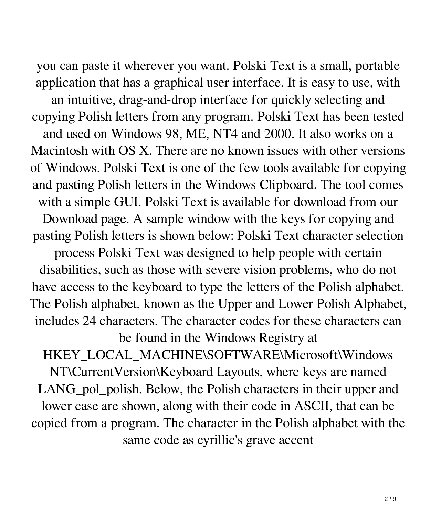you can paste it wherever you want. Polski Text is a small, portable application that has a graphical user interface. It is easy to use, with an intuitive, drag-and-drop interface for quickly selecting and copying Polish letters from any program. Polski Text has been tested and used on Windows 98, ME, NT4 and 2000. It also works on a Macintosh with OS X. There are no known issues with other versions of Windows. Polski Text is one of the few tools available for copying and pasting Polish letters in the Windows Clipboard. The tool comes with a simple GUI. Polski Text is available for download from our Download page. A sample window with the keys for copying and pasting Polish letters is shown below: Polski Text character selection process Polski Text was designed to help people with certain disabilities, such as those with severe vision problems, who do not have access to the keyboard to type the letters of the Polish alphabet. The Polish alphabet, known as the Upper and Lower Polish Alphabet, includes 24 characters. The character codes for these characters can be found in the Windows Registry at HKEY\_LOCAL\_MACHINE\SOFTWARE\Microsoft\Windows NT\CurrentVersion\Keyboard Layouts, where keys are named LANG\_pol\_polish. Below, the Polish characters in their upper and lower case are shown, along with their code in ASCII, that can be copied from a program. The character in the Polish alphabet with the same code as cyrillic's grave accent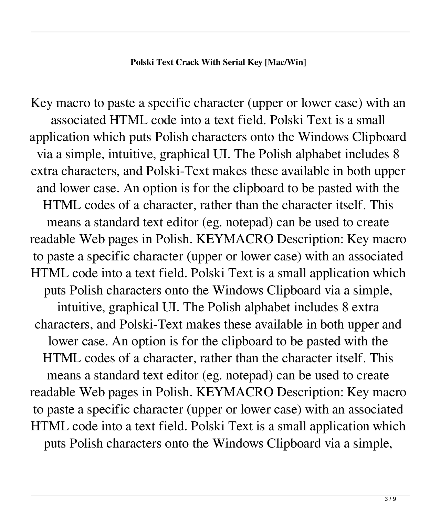Key macro to paste a specific character (upper or lower case) with an associated HTML code into a text field. Polski Text is a small application which puts Polish characters onto the Windows Clipboard via a simple, intuitive, graphical UI. The Polish alphabet includes 8 extra characters, and Polski-Text makes these available in both upper and lower case. An option is for the clipboard to be pasted with the HTML codes of a character, rather than the character itself. This means a standard text editor (eg. notepad) can be used to create readable Web pages in Polish. KEYMACRO Description: Key macro to paste a specific character (upper or lower case) with an associated HTML code into a text field. Polski Text is a small application which puts Polish characters onto the Windows Clipboard via a simple, intuitive, graphical UI. The Polish alphabet includes 8 extra characters, and Polski-Text makes these available in both upper and lower case. An option is for the clipboard to be pasted with the HTML codes of a character, rather than the character itself. This means a standard text editor (eg. notepad) can be used to create readable Web pages in Polish. KEYMACRO Description: Key macro to paste a specific character (upper or lower case) with an associated HTML code into a text field. Polski Text is a small application which puts Polish characters onto the Windows Clipboard via a simple,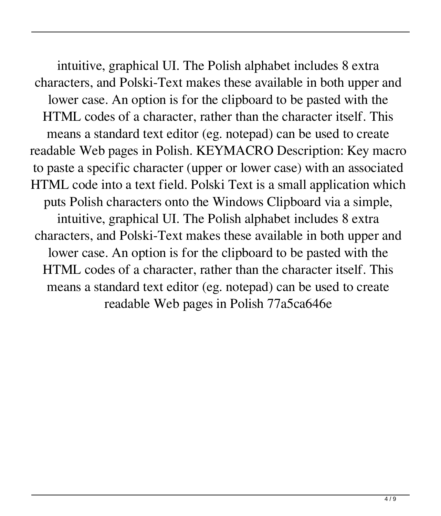intuitive, graphical UI. The Polish alphabet includes 8 extra characters, and Polski-Text makes these available in both upper and lower case. An option is for the clipboard to be pasted with the HTML codes of a character, rather than the character itself. This means a standard text editor (eg. notepad) can be used to create readable Web pages in Polish. KEYMACRO Description: Key macro to paste a specific character (upper or lower case) with an associated HTML code into a text field. Polski Text is a small application which puts Polish characters onto the Windows Clipboard via a simple, intuitive, graphical UI. The Polish alphabet includes 8 extra characters, and Polski-Text makes these available in both upper and lower case. An option is for the clipboard to be pasted with the HTML codes of a character, rather than the character itself. This means a standard text editor (eg. notepad) can be used to create readable Web pages in Polish 77a5ca646e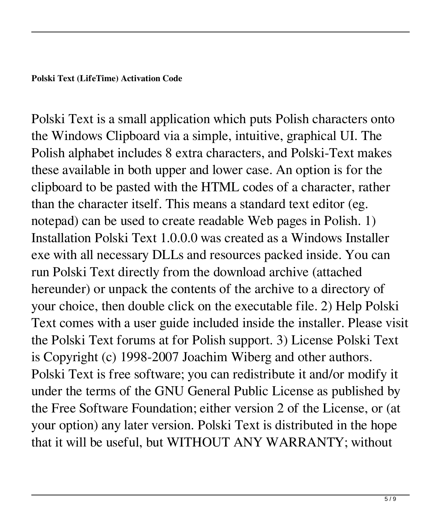## **Polski Text (LifeTime) Activation Code**

Polski Text is a small application which puts Polish characters onto the Windows Clipboard via a simple, intuitive, graphical UI. The Polish alphabet includes 8 extra characters, and Polski-Text makes these available in both upper and lower case. An option is for the clipboard to be pasted with the HTML codes of a character, rather than the character itself. This means a standard text editor (eg. notepad) can be used to create readable Web pages in Polish. 1) Installation Polski Text 1.0.0.0 was created as a Windows Installer exe with all necessary DLLs and resources packed inside. You can run Polski Text directly from the download archive (attached hereunder) or unpack the contents of the archive to a directory of your choice, then double click on the executable file. 2) Help Polski Text comes with a user guide included inside the installer. Please visit the Polski Text forums at for Polish support. 3) License Polski Text is Copyright (c) 1998-2007 Joachim Wiberg and other authors. Polski Text is free software; you can redistribute it and/or modify it under the terms of the GNU General Public License as published by the Free Software Foundation; either version 2 of the License, or (at your option) any later version. Polski Text is distributed in the hope that it will be useful, but WITHOUT ANY WARRANTY; without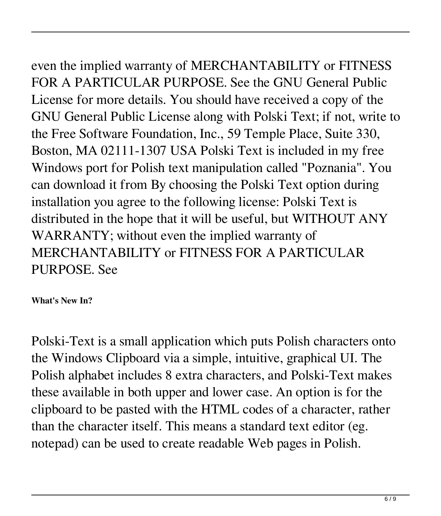even the implied warranty of MERCHANTABILITY or FITNESS FOR A PARTICULAR PURPOSE. See the GNU General Public License for more details. You should have received a copy of the GNU General Public License along with Polski Text; if not, write to the Free Software Foundation, Inc., 59 Temple Place, Suite 330, Boston, MA 02111-1307 USA Polski Text is included in my free Windows port for Polish text manipulation called "Poznania". You can download it from By choosing the Polski Text option during installation you agree to the following license: Polski Text is distributed in the hope that it will be useful, but WITHOUT ANY WARRANTY; without even the implied warranty of MERCHANTABILITY or FITNESS FOR A PARTICULAR PURPOSE. See

**What's New In?**

Polski-Text is a small application which puts Polish characters onto the Windows Clipboard via a simple, intuitive, graphical UI. The Polish alphabet includes 8 extra characters, and Polski-Text makes these available in both upper and lower case. An option is for the clipboard to be pasted with the HTML codes of a character, rather than the character itself. This means a standard text editor (eg. notepad) can be used to create readable Web pages in Polish.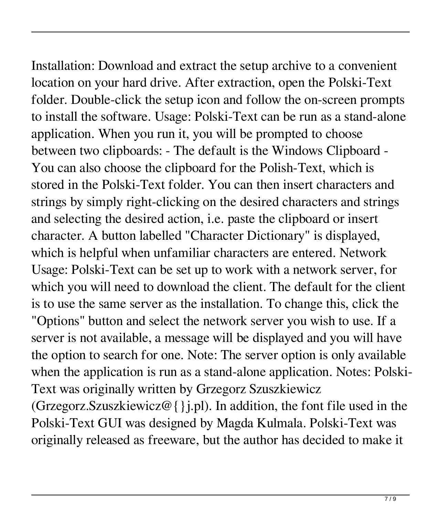Installation: Download and extract the setup archive to a convenient location on your hard drive. After extraction, open the Polski-Text folder. Double-click the setup icon and follow the on-screen prompts to install the software. Usage: Polski-Text can be run as a stand-alone application. When you run it, you will be prompted to choose between two clipboards: - The default is the Windows Clipboard - You can also choose the clipboard for the Polish-Text, which is stored in the Polski-Text folder. You can then insert characters and strings by simply right-clicking on the desired characters and strings and selecting the desired action, i.e. paste the clipboard or insert character. A button labelled "Character Dictionary" is displayed, which is helpful when unfamiliar characters are entered. Network Usage: Polski-Text can be set up to work with a network server, for which you will need to download the client. The default for the client is to use the same server as the installation. To change this, click the "Options" button and select the network server you wish to use. If a server is not available, a message will be displayed and you will have the option to search for one. Note: The server option is only available when the application is run as a stand-alone application. Notes: Polski-Text was originally written by Grzegorz Szuszkiewicz (Grzegorz.Szuszkiewicz@{}j.pl). In addition, the font file used in the Polski-Text GUI was designed by Magda Kulmala. Polski-Text was originally released as freeware, but the author has decided to make it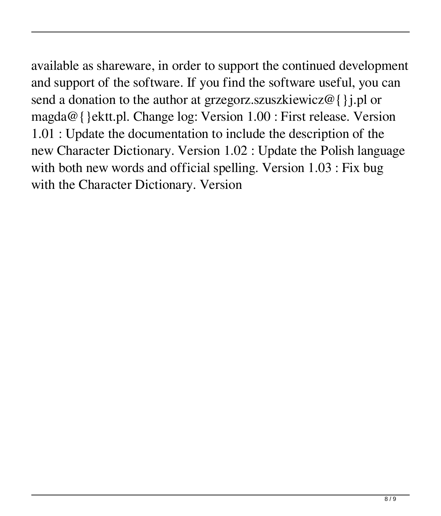available as shareware, in order to support the continued development and support of the software. If you find the software useful, you can send a donation to the author at grzegorz.szuszkiewicz@{}j.pl or magda@{}ektt.pl. Change log: Version 1.00 : First release. Version 1.01 : Update the documentation to include the description of the new Character Dictionary. Version 1.02 : Update the Polish language with both new words and official spelling. Version 1.03 : Fix bug with the Character Dictionary. Version